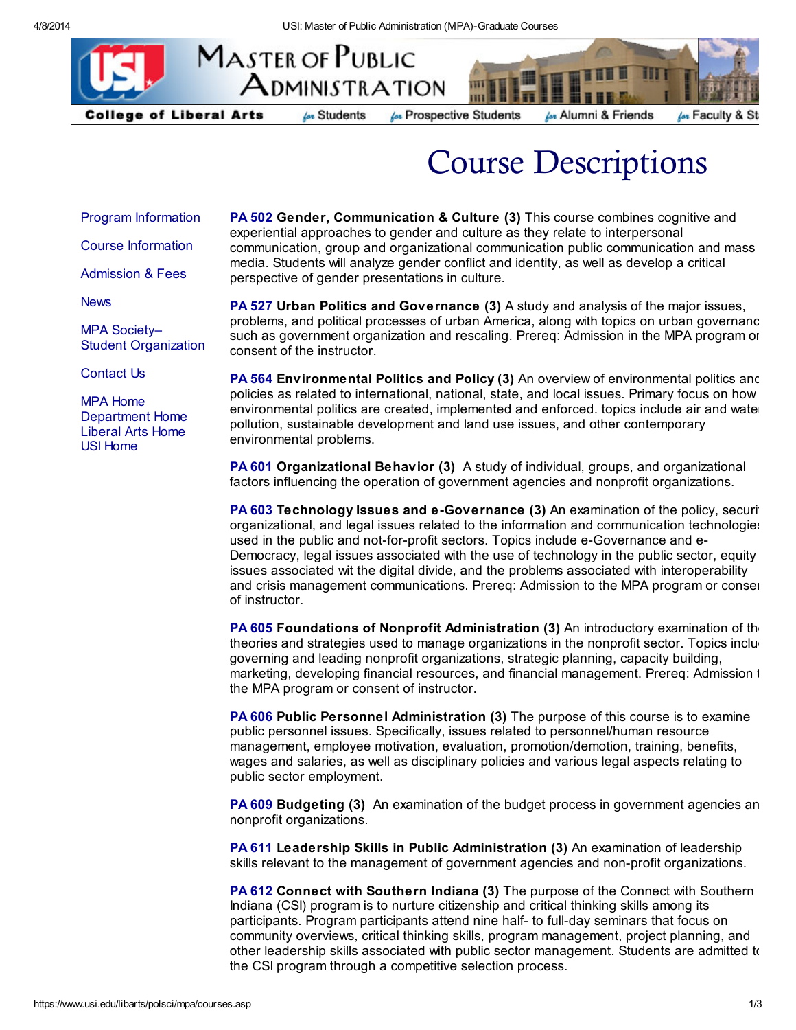

for Faculty & St

Course Descriptions

Program [Information](http://www.usi.edu/libarts/polsci/mpa/index.asp#program)

Course [Information](http://www.usi.edu/libarts/polsci/mpa/index.asp#courses)

[Admission](http://www.usi.edu/libarts/polsci/mpa/index.asp#admission) & Fees

**[News](http://www.usi.edu/libarts/polsci/mpa/index.asp#news)** 

MPA Society– Student [Organization](http://www.usi.edu/libarts/polsci/mpa/MPAsociety.asp)

[Contact](http://www.usi.edu/libarts/polsci/mpa/contactus.asp) Us

MPA [Home](https://www.usi.edu/libarts/polsci/mpa/) [Department](https://www.usi.edu/libarts/polsci/) Home [Liberal](https://www.usi.edu/libarts/) Arts Home USI [Home](http://www.usi.edu/)

PA 502 Gender, Communication & Culture (3) This course combines cognitive and experiential approaches to gender and culture as they relate to interpersonal communication, group and organizational communication public communication and mass media. Students will analyze gender conflict and identity, as well as develop a critical perspective of gender presentations in culture.

PA 527 Urban Politics and Governance (3) A study and analysis of the major issues, problems, and political processes of urban America, along with topics on urban governance such as government organization and rescaling. Prereq: Admission in the MPA program or consent of the instructor.

PA 564 Environmental Politics and Policy (3) An overview of environmental politics and policies as related to international, national, state, and local issues. Primary focus on how environmental politics are created, implemented and enforced. topics include air and wate pollution, sustainable development and land use issues, and other contemporary environmental problems.

PA 601 Organizational Behavior (3) A study of individual, groups, and organizational factors influencing the operation of government agencies and nonprofit organizations.

PA 603 Technology Issues and e-Governance (3) An examination of the policy, security organizational, and legal issues related to the information and communication technologies used in the public and not-for-profit sectors. Topics include e-Governance and e-Democracy, legal issues associated with the use of technology in the public sector, equity issues associated wit the digital divide, and the problems associated with interoperability and crisis management communications. Prereq: Admission to the MPA program or conser of instructor.

PA 605 Foundations of Nonprofit Administration (3) An introductory examination of the theories and strategies used to manage organizations in the nonprofit sector. Topics inclugoverning and leading nonprofit organizations, strategic planning, capacity building, marketing, developing financial resources, and financial management. Prereq: Admission 1 the MPA program or consent of instructor.

PA 606 Public Personnel Administration (3) The purpose of this course is to examine public personnel issues. Specifically, issues related to personnel/human resource management, employee motivation, evaluation, promotion/demotion, training, benefits, wages and salaries, as well as disciplinary policies and various legal aspects relating to public sector employment.

**PA 609 Budgeting (3)** An examination of the budget process in government agencies an nonprofit organizations.

PA 611 Leadership Skills in Public Administration (3) An examination of leadership skills relevant to the management of government agencies and non-profit organizations.

PA 612 Connect with Southern Indiana (3) The purpose of the Connect with Southern Indiana (CSI) program is to nurture citizenship and critical thinking skills among its participants. Program participants attend nine half- to full-day seminars that focus on community overviews, critical thinking skills, program management, project planning, and other leadership skills associated with public sector management. Students are admitted to the CSI program through a competitive selection process.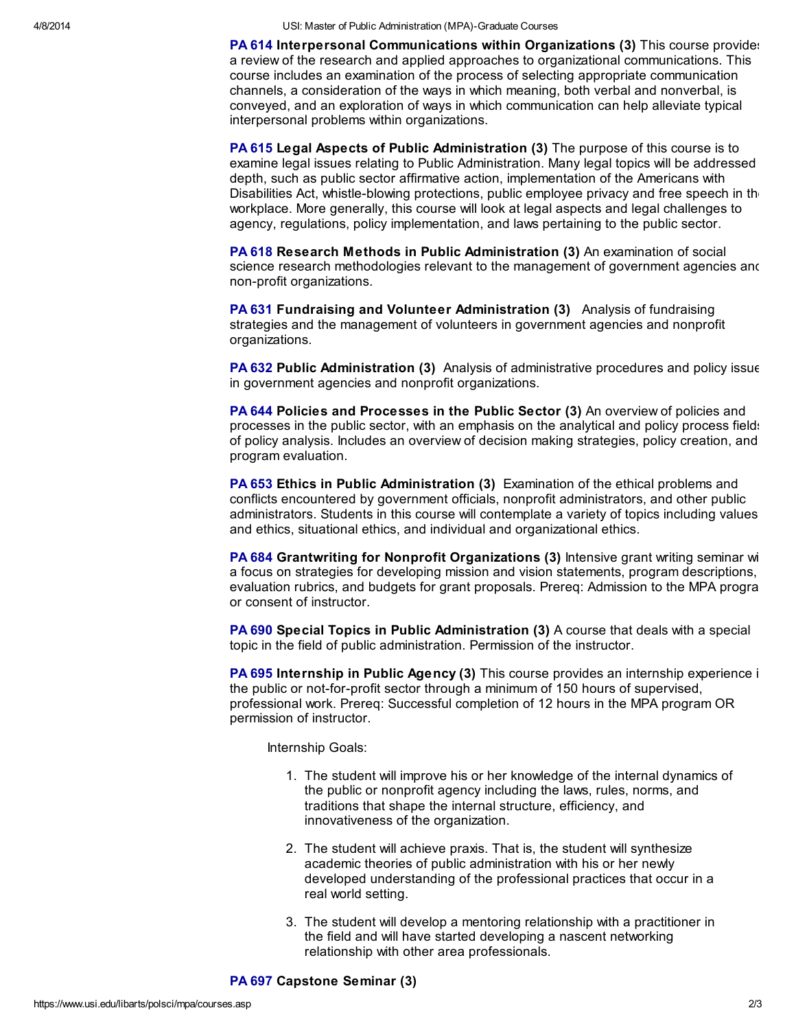4/8/2014 USI: Master of Public Administration (MPA)-Graduate Courses

PA 614 Interpersonal Communications within Organizations (3) This course provides a review of the research and applied approaches to organizational communications. This course includes an examination of the process of selecting appropriate communication channels, a consideration of the ways in which meaning, both verbal and nonverbal, is conveyed, and an exploration of ways in which communication can help alleviate typical interpersonal problems within organizations.

PA 615 Legal Aspects of Public Administration (3) The purpose of this course is to examine legal issues relating to Public Administration. Many legal topics will be addressed depth, such as public sector affirmative action, implementation of the Americans with Disabilities Act, whistle-blowing protections, public employee privacy and free speech in the workplace. More generally, this course will look at legal aspects and legal challenges to agency, regulations, policy implementation, and laws pertaining to the public sector.

PA 618 Research Methods in Public Administration (3) An examination of social science research methodologies relevant to the management of government agencies and non-profit organizations.

PA 631 Fundraising and Volunteer Administration (3) Analysis of fundraising strategies and the management of volunteers in government agencies and nonprofit organizations.

PA 632 Public Administration (3) Analysis of administrative procedures and policy issue in government agencies and nonprofit organizations.

PA 644 Policies and Processes in the Public Sector (3) An overview of policies and processes in the public sector, with an emphasis on the analytical and policy process fields of policy analysis. Includes an overview of decision making strategies, policy creation, and program evaluation.

PA 653 Ethics in Public Administration (3) Examination of the ethical problems and conflicts encountered by government officials, nonprofit administrators, and other public administrators. Students in this course will contemplate a variety of topics including values and ethics, situational ethics, and individual and organizational ethics.

PA 684 Grantwriting for Nonprofit Organizations (3) Intensive grant writing seminar wi a focus on strategies for developing mission and vision statements, program descriptions, evaluation rubrics, and budgets for grant proposals. Prereq: Admission to the MPA program or consent of instructor.

PA 690 Special Topics in Public Administration (3) A course that deals with a special topic in the field of public administration. Permission of the instructor.

PA 695 Internship in Public Agency (3) This course provides an internship experience in the public or not-for-profit sector through a minimum of 150 hours of supervised, professional work. Prereq: Successful completion of 12 hours in the MPA program OR permission of instructor.

Internship Goals:

- 1. The student will improve his or her knowledge of the internal dynamics of the public or nonprofit agency including the laws, rules, norms, and traditions that shape the internal structure, efficiency, and innovativeness of the organization.
- 2. The student will achieve praxis. That is, the student will synthesize academic theories of public administration with his or her newly developed understanding of the professional practices that occur in a real world setting.
- 3. The student will develop a mentoring relationship with a practitioner in the field and will have started developing a nascent networking relationship with other area professionals.

PA 697 Capstone Seminar (3)